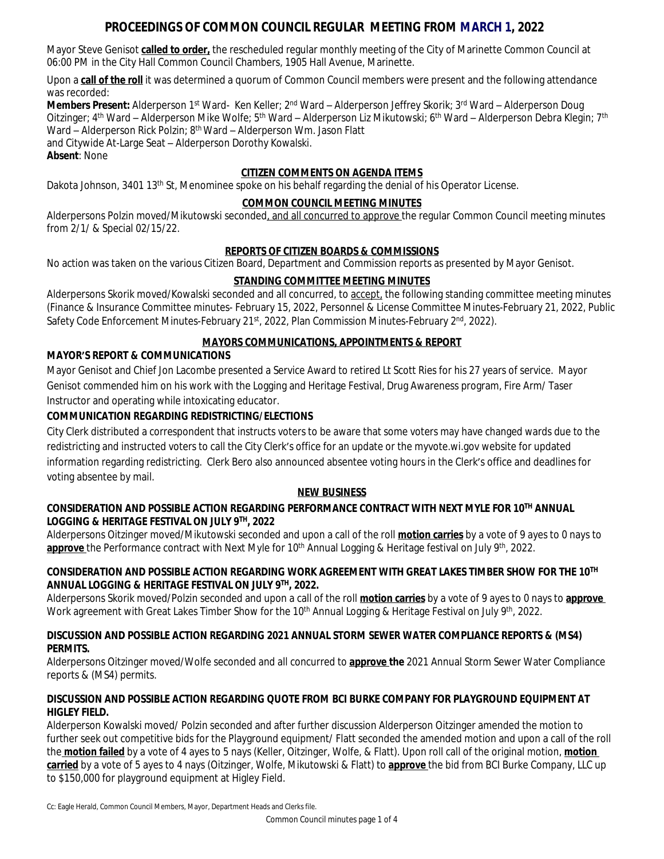# **PROCEEDINGS OF COMMON COUNCIL REGULAR MEETING FROM MARCH 1, 2022**

Mayor Steve Genisot **called to order,** the rescheduled regular monthly meeting of the City of Marinette Common Council at 06:00 PM in the City Hall Common Council Chambers, 1905 Hall Avenue, Marinette.

Upon a **call of the roll** it was determined a quorum of Common Council members were present and the following attendance was recorded:

**Members Present:** Alderperson 1<sup>st</sup> Ward- Ken Keller; 2<sup>nd</sup> Ward – Alderperson Jeffrey Skorik; 3<sup>rd</sup> Ward – Alderperson Doug Oitzinger; 4<sup>th</sup> Ward – Alderperson Mike Wolfe; 5<sup>th</sup> Ward – Alderperson Liz Mikutowski; 6<sup>th</sup> Ward – Alderperson Debra Klegin; 7<sup>th</sup> Ward – Alderperson Rick Polzin; 8<sup>th</sup> Ward – Alderperson Wm. Jason Flatt and Citywide At-Large Seat – Alderperson Dorothy Kowalski. **Absent**: None

# **CITIZEN COMMENTS ON AGENDA ITEMS**

Dakota Johnson, 3401 13<sup>th</sup> St, Menominee spoke on his behalf regarding the denial of his Operator License.

#### **COMMON COUNCIL MEETING MINUTES**

Alderpersons Polzin moved/Mikutowski seconded, and all concurred to approve the regular Common Council meeting minutes from 2/1/ & Special 02/15/22.

### **REPORTS OF CITIZEN BOARDS & COMMISSIONS**

No action was taken on the various Citizen Board, Department and Commission reports as presented by Mayor Genisot.

### **STANDING COMMITTEE MEETING MINUTES**

Alderpersons Skorik moved/Kowalski seconded and all concurred, to accept, the following standing committee meeting minutes (Finance & Insurance Committee minutes- February 15, 2022, Personnel & License Committee Minutes-February 21, 2022, Public Safety Code Enforcement Minutes-February 21<sup>st</sup>, 2022, Plan Commission Minutes-February 2<sup>nd</sup>, 2022).

#### **MAYORS COMMUNICATIONS, APPOINTMENTS & REPORT**

#### **MAYOR'S REPORT & COMMUNICATIONS**

Mayor Genisot and Chief Jon Lacombe presented a Service Award to retired Lt Scott Ries for his 27 years of service. Mayor Genisot commended him on his work with the Logging and Heritage Festival, Drug Awareness program, Fire Arm/ Taser Instructor and operating while intoxicating educator.

### **COMMUNICATION REGARDING REDISTRICTING/ELECTIONS**

City Clerk distributed a correspondent that instructs voters to be aware that some voters may have changed wards due to the redistricting and instructed voters to call the City Clerk's office for an update or the myvote.wi.gov website for updated information regarding redistricting. Clerk Bero also announced absentee voting hours in the Clerk's office and deadlines for voting absentee by mail.

#### **NEW BUSINESS**

### **CONSIDERATION AND POSSIBLE ACTION REGARDING PERFORMANCE CONTRACT WITH NEXT MYLE FOR 10TH ANNUAL LOGGING & HERITAGE FESTIVAL ON JULY 9TH, 2022**

Alderpersons Oitzinger moved/Mikutowski seconded and upon a call of the roll **motion carries** by a vote of 9 ayes to 0 nays to **approve** the Performance contract with Next Myle for 10<sup>th</sup> Annual Logging & Heritage festival on July 9<sup>th</sup>, 2022.

### **CONSIDERATION AND POSSIBLE ACTION REGARDING WORK AGREEMENT WITH GREAT LAKES TIMBER SHOW FOR THE 10TH ANNUAL LOGGING & HERITAGE FESTIVAL ON JULY 9TH, 2022.**

Alderpersons Skorik moved/Polzin seconded and upon a call of the roll **motion carries** by a vote of 9 ayes to 0 nays to **approve**  Work agreement with Great Lakes Timber Show for the 10<sup>th</sup> Annual Logging & Heritage Festival on July 9<sup>th</sup>, 2022.

#### **DISCUSSION AND POSSIBLE ACTION REGARDING 2021 ANNUAL STORM SEWER WATER COMPLIANCE REPORTS & (MS4) PERMITS.**

Alderpersons Oitzinger moved/Wolfe seconded and all concurred to **approve the** 2021 Annual Storm Sewer Water Compliance reports & (MS4) permits.

### **DISCUSSION AND POSSIBLE ACTION REGARDING QUOTE FROM BCI BURKE COMPANY FOR PLAYGROUND EQUIPMENT AT HIGLEY FIELD.**

Alderperson Kowalski moved/ Polzin seconded and after further discussion Alderperson Oitzinger amended the motion to further seek out competitive bids for the Playground equipment/ Flatt seconded the amended motion and upon a call of the roll the **motion failed** by a vote of 4 ayes to 5 nays (Keller, Oitzinger, Wolfe, & Flatt). Upon roll call of the original motion, **motion carried** by a vote of 5 ayes to 4 nays (Oitzinger, Wolfe, Mikutowski & Flatt) to **approve** the bid from BCI Burke Company, LLC up to \$150,000 for playground equipment at Higley Field.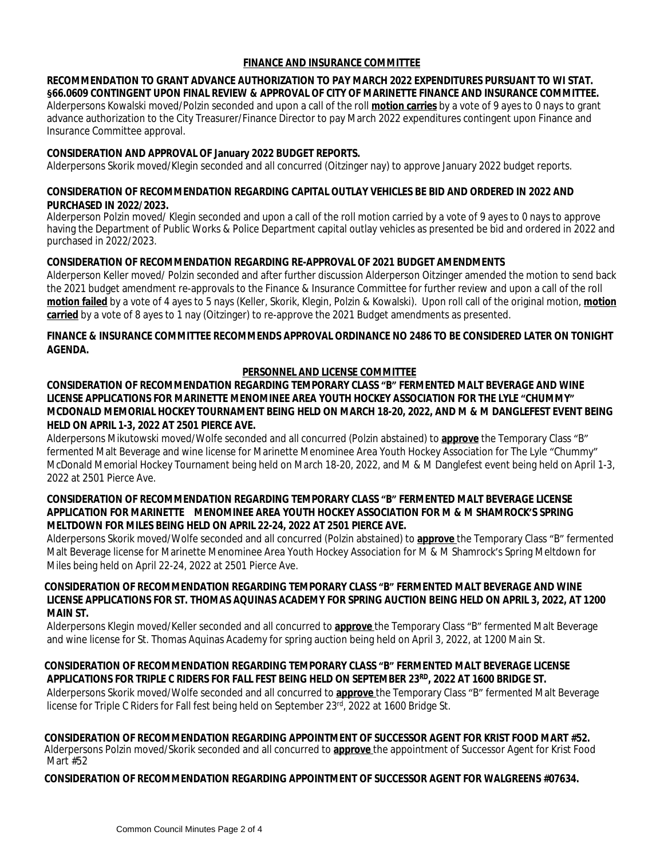#### **FINANCE AND INSURANCE COMMITTEE**

#### **RECOMMENDATION TO GRANT ADVANCE AUTHORIZATION TO PAY MARCH 2022 EXPENDITURES PURSUANT TO WI STAT. §66.0609 CONTINGENT UPON FINAL REVIEW & APPROVAL OF CITY OF MARINETTE FINANCE AND INSURANCE COMMITTEE.**

Alderpersons Kowalski moved/Polzin seconded and upon a call of the roll **motion carries** by a vote of 9 ayes to 0 nays to grant advance authorization to the City Treasurer/Finance Director to pay March 2022 expenditures contingent upon Finance and Insurance Committee approval.

#### **CONSIDERATION AND APPROVAL OF January 2022 BUDGET REPORTS.**

Alderpersons Skorik moved/Klegin seconded and all concurred (Oitzinger nay) to approve January 2022 budget reports.

#### **CONSIDERATION OF RECOMMENDATION REGARDING CAPITAL OUTLAY VEHICLES BE BID AND ORDERED IN 2022 AND PURCHASED IN 2022/2023.**

Alderperson Polzin moved/ Klegin seconded and upon a call of the roll motion carried by a vote of 9 ayes to 0 nays to approve having the Department of Public Works & Police Department capital outlay vehicles as presented be bid and ordered in 2022 and purchased in 2022/2023.

#### **CONSIDERATION OF RECOMMENDATION REGARDING RE-APPROVAL OF 2021 BUDGET AMENDMENTS**

Alderperson Keller moved/ Polzin seconded and after further discussion Alderperson Oitzinger amended the motion to send back the 2021 budget amendment re-approvals to the Finance & Insurance Committee for further review and upon a call of the roll **motion failed** by a vote of 4 ayes to 5 nays (Keller, Skorik, Klegin, Polzin & Kowalski). Upon roll call of the original motion, **motion carried** by a vote of 8 ayes to 1 nay (Oitzinger) to re-approve the 2021 Budget amendments as presented.

#### **FINANCE & INSURANCE COMMITTEE RECOMMENDS APPROVAL ORDINANCE NO 2486 TO BE CONSIDERED LATER ON TONIGHT AGENDA.**

#### **PERSONNEL AND LICENSE COMMITTEE**

#### **CONSIDERATION OF RECOMMENDATION REGARDING TEMPORARY CLASS "B" FERMENTED MALT BEVERAGE AND WINE LICENSE APPLICATIONS FOR MARINETTE MENOMINEE AREA YOUTH HOCKEY ASSOCIATION FOR THE LYLE "CHUMMY" MCDONALD MEMORIAL HOCKEY TOURNAMENT BEING HELD ON MARCH 18-20, 2022, AND M & M DANGLEFEST EVENT BEING HELD ON APRIL 1-3, 2022 AT 2501 PIERCE AVE.**

Alderpersons Mikutowski moved/Wolfe seconded and all concurred (Polzin abstained) to **approve** the Temporary Class "B" fermented Malt Beverage and wine license for Marinette Menominee Area Youth Hockey Association for The Lyle "Chummy" McDonald Memorial Hockey Tournament being held on March 18-20, 2022, and M & M Danglefest event being held on April 1-3, 2022 at 2501 Pierce Ave.

#### **CONSIDERATION OF RECOMMENDATION REGARDING TEMPORARY CLASS "B" FERMENTED MALT BEVERAGE LICENSE APPLICATION FOR MARINETTE MENOMINEE AREA YOUTH HOCKEY ASSOCIATION FOR M & M SHAMROCK'S SPRING MELTDOWN FOR MILES BEING HELD ON APRIL 22-24, 2022 AT 2501 PIERCE AVE.**

 Alderpersons Skorik moved/Wolfe seconded and all concurred (Polzin abstained) to **approve** the Temporary Class "B" fermented Malt Beverage license for Marinette Menominee Area Youth Hockey Association for M & M Shamrock's Spring Meltdown for Miles being held on April 22-24, 2022 at 2501 Pierce Ave.

#### **CONSIDERATION OF RECOMMENDATION REGARDING TEMPORARY CLASS "B" FERMENTED MALT BEVERAGE AND WINE LICENSE APPLICATIONS FOR ST. THOMAS AQUINAS ACADEMY FOR SPRING AUCTION BEING HELD ON APRIL 3, 2022, AT 1200 MAIN ST.**

Alderpersons Klegin moved/Keller seconded and all concurred to **approve** the Temporary Class "B" fermented Malt Beverage and wine license for St. Thomas Aquinas Academy for spring auction being held on April 3, 2022, at 1200 Main St.

### **CONSIDERATION OF RECOMMENDATION REGARDING TEMPORARY CLASS "B" FERMENTED MALT BEVERAGE LICENSE APPLICATIONS FOR TRIPLE C RIDERS FOR FALL FEST BEING HELD ON SEPTEMBER 23RD, 2022 AT 1600 BRIDGE ST.**

Alderpersons Skorik moved/Wolfe seconded and all concurred to **approve** the Temporary Class "B" fermented Malt Beverage license for Triple C Riders for Fall fest being held on September 23rd, 2022 at 1600 Bridge St.

#### **CONSIDERATION OF RECOMMENDATION REGARDING APPOINTMENT OF SUCCESSOR AGENT FOR KRIST FOOD MART #52.** Alderpersons Polzin moved/Skorik seconded and all concurred to **approve** the appointment of Successor Agent for Krist Food Mart #52

### **CONSIDERATION OF RECOMMENDATION REGARDING APPOINTMENT OF SUCCESSOR AGENT FOR WALGREENS #07634.**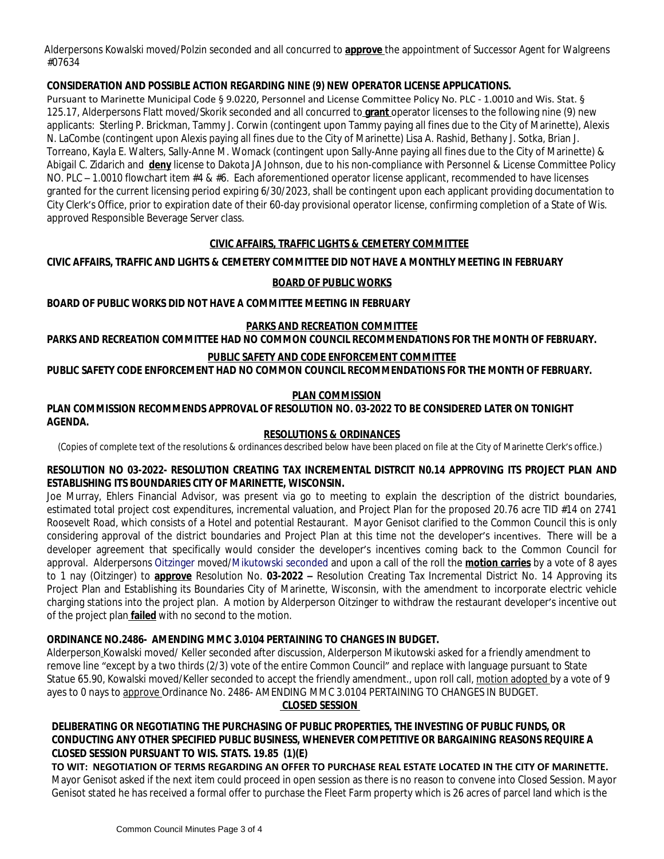Alderpersons Kowalski moved/Polzin seconded and all concurred to **approve** the appointment of Successor Agent for Walgreens #07634

### **CONSIDERATION AND POSSIBLE ACTION REGARDING NINE (9) NEW OPERATOR LICENSE APPLICATIONS.**

Pursuant to Marinette Municipal Code § 9.0220, Personnel and License Committee Policy No. PLC - 1.0010 and Wis. Stat. § 125.17, Alderpersons Flatt moved/Skorik seconded and all concurred to **grant** operator licenses to the following nine (9) new applicants: Sterling P. Brickman, Tammy J. Corwin (contingent upon Tammy paying all fines due to the City of Marinette), Alexis N. LaCombe (contingent upon Alexis paying all fines due to the City of Marinette) Lisa A. Rashid, Bethany J. Sotka, Brian J. Torreano, Kayla E. Walters, Sally-Anne M. Womack (contingent upon Sally-Anne paying all fines due to the City of Marinette) & Abigail C. Zidarich and **deny** license to Dakota JA Johnson, due to his non-compliance with Personnel & License Committee Policy NO. PLC – 1.0010 flowchart item #4 & #6. Each aforementioned operator license applicant, recommended to have licenses granted for the current licensing period expiring 6/30/2023, shall be contingent upon each applicant providing documentation to City Clerk's Office, prior to expiration date of their 60-day provisional operator license, confirming completion of a State of Wis. approved Responsible Beverage Server class.

# **CIVIC AFFAIRS, TRAFFIC LIGHTS & CEMETERY COMMITTEE**

# **CIVIC AFFAIRS, TRAFFIC AND LIGHTS & CEMETERY COMMITTEE DID NOT HAVE A MONTHLY MEETING IN FEBRUARY**

### **BOARD OF PUBLIC WORKS**

**BOARD OF PUBLIC WORKS DID NOT HAVE A COMMITTEE MEETING IN FEBRUARY**

#### **PARKS AND RECREATION COMMITTEE**

**PARKS AND RECREATION COMMITTEE HAD NO COMMON COUNCIL RECOMMENDATIONS FOR THE MONTH OF FEBRUARY.**

# **PUBLIC SAFETY AND CODE ENFORCEMENT COMMITTEE**

**PUBLIC SAFETY CODE ENFORCEMENT HAD NO COMMON COUNCIL RECOMMENDATIONS FOR THE MONTH OF FEBRUARY.**

### **PLAN COMMISSION**

#### **PLAN COMMISSION RECOMMENDS APPROVAL OF RESOLUTION NO. 03-2022 TO BE CONSIDERED LATER ON TONIGHT AGENDA.**

#### **RESOLUTIONS & ORDINANCES**

(Copies of complete text of the resolutions & ordinances described below have been placed on file at the City of Marinette Clerk's office.)

#### **RESOLUTION NO 03-2022- RESOLUTION CREATING TAX INCREMENTAL DISTRCIT N0.14 APPROVING ITS PROJECT PLAN AND ESTABLISHING ITS BOUNDARIES CITY OF MARINETTE, WISCONSIN.**

Joe Murray, Ehlers Financial Advisor, was present via go to meeting to explain the description of the district boundaries, estimated total project cost expenditures, incremental valuation, and Project Plan for the proposed 20.76 acre TID #14 on 2741 Roosevelt Road, which consists of a Hotel and potential Restaurant. Mayor Genisot clarified to the Common Council this is only considering approval of the district boundaries and Project Plan at this time not the developer's incentives. There will be a developer agreement that specifically would consider the developer's incentives coming back to the Common Council for approval. Alderpersons Oitzinger moved/Mikutowski seconded and upon a call of the roll the **motion carries** by a vote of 8 ayes to 1 nay (Oitzinger) to **approve** Resolution No. **03-2022 –** Resolution Creating Tax Incremental District No. 14 Approving its Project Plan and Establishing its Boundaries City of Marinette, Wisconsin, with the amendment to incorporate electric vehicle charging stations into the project plan. A motion by Alderperson Oitzinger to withdraw the restaurant developer's incentive out of the project plan **failed** with no second to the motion.

### **ORDINANCE NO.2486- AMENDING MMC 3.0104 PERTAINING TO CHANGES IN BUDGET.**

Alderperson Kowalski moved/ Keller seconded after discussion, Alderperson Mikutowski asked for a friendly amendment to remove line "except by a two thirds (2/3) vote of the entire Common Council" and replace with language pursuant to State Statue 65.90, Kowalski moved/Keller seconded to accept the friendly amendment., upon roll call, motion adopted by a vote of 9 ayes to 0 nays to approve Ordinance No. 2486- AMENDING MMC 3.0104 PERTAINING TO CHANGES IN BUDGET.

# **CLOSED SESSION**

# **DELIBERATING OR NEGOTIATING THE PURCHASING OF PUBLIC PROPERTIES, THE INVESTING OF PUBLIC FUNDS, OR CONDUCTING ANY OTHER SPECIFIED PUBLIC BUSINESS, WHENEVER COMPETITIVE OR BARGAINING REASONS REQUIRE A CLOSED SESSION PURSUANT TO WIS. STATS. 19.85 (1)(E)**

**TO WIT: NEGOTIATION OF TERMS REGARDING AN OFFER TO PURCHASE REAL ESTATE LOCATED IN THE CITY OF MARINETTE.** Mayor Genisot asked if the next item could proceed in open session as there is no reason to convene into Closed Session. Mayor Genisot stated he has received a formal offer to purchase the Fleet Farm property which is 26 acres of parcel land which is the